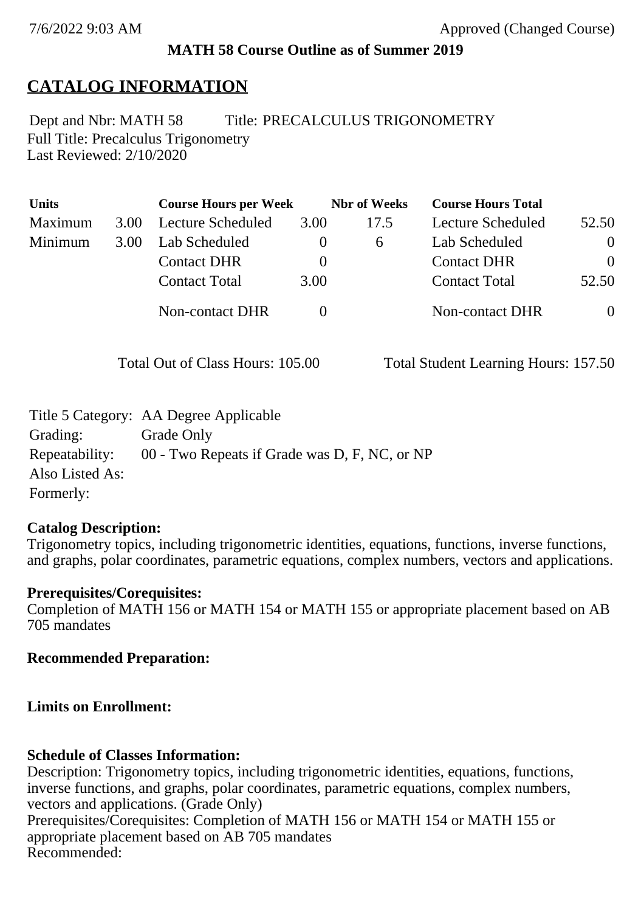## **MATH 58 Course Outline as of Summer 2019**

# **CATALOG INFORMATION**

Full Title: Precalculus Trigonometry Last Reviewed: 2/10/2020 Dept and Nbr: MATH 58 Title: PRECALCULUS TRIGONOMETRY

| <b>Units</b> |      | <b>Course Hours per Week</b> |      | <b>Nbr</b> of Weeks | <b>Course Hours Total</b> |                |
|--------------|------|------------------------------|------|---------------------|---------------------------|----------------|
| Maximum      | 3.00 | Lecture Scheduled            | 3.00 | 17.5                | Lecture Scheduled         | 52.50          |
| Minimum      | 3.00 | Lab Scheduled                | O    | $\sigma$            | Lab Scheduled             | $\overline{0}$ |
|              |      | <b>Contact DHR</b>           |      |                     | <b>Contact DHR</b>        | $\Omega$       |
|              |      | <b>Contact Total</b>         | 3.00 |                     | <b>Contact Total</b>      | 52.50          |
|              |      | Non-contact DHR              |      |                     | <b>Non-contact DHR</b>    | $\overline{0}$ |

Total Out of Class Hours: 105.00 Total Student Learning Hours: 157.50

|                 | Title 5 Category: AA Degree Applicable        |
|-----------------|-----------------------------------------------|
| Grading:        | Grade Only                                    |
| Repeatability:  | 00 - Two Repeats if Grade was D, F, NC, or NP |
| Also Listed As: |                                               |
| Formerly:       |                                               |

### **Catalog Description:**

Trigonometry topics, including trigonometric identities, equations, functions, inverse functions, and graphs, polar coordinates, parametric equations, complex numbers, vectors and applications.

### **Prerequisites/Corequisites:**

Completion of MATH 156 or MATH 154 or MATH 155 or appropriate placement based on AB 705 mandates

**Recommended Preparation:**

## **Limits on Enrollment:**

## **Schedule of Classes Information:**

Description: Trigonometry topics, including trigonometric identities, equations, functions, inverse functions, and graphs, polar coordinates, parametric equations, complex numbers, vectors and applications. (Grade Only) Prerequisites/Corequisites: Completion of MATH 156 or MATH 154 or MATH 155 or appropriate placement based on AB 705 mandates Recommended: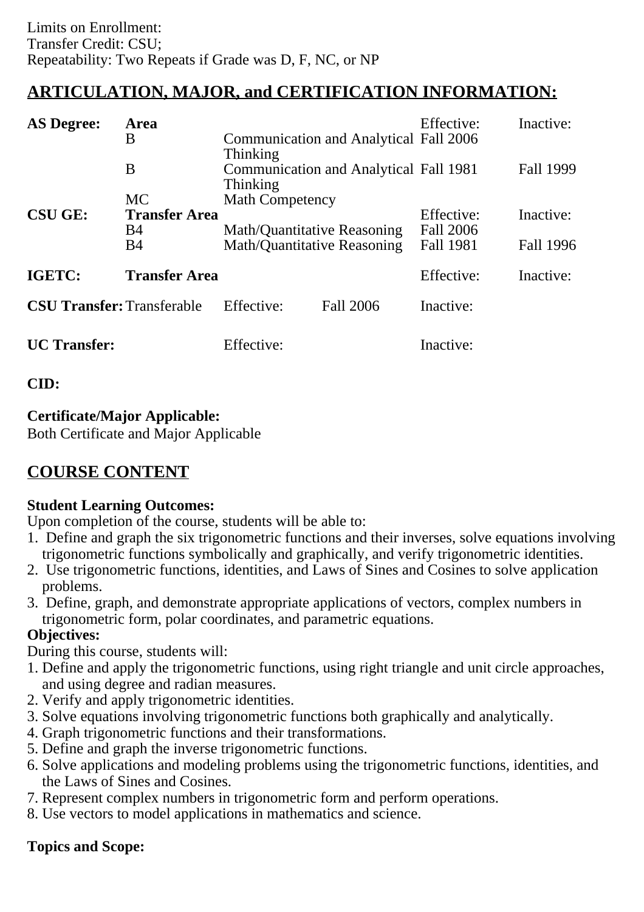## **ARTICULATION, MAJOR, and CERTIFICATION INFORMATION:**

| <b>AS Degree:</b>                 | Area                 |                                    |                                               | Effective:       | Inactive: |
|-----------------------------------|----------------------|------------------------------------|-----------------------------------------------|------------------|-----------|
|                                   | B                    | Thinking                           | Communication and Analytical Fall 2006        |                  |           |
|                                   | B                    | Thinking                           | <b>Communication and Analytical Fall 1981</b> |                  | Fall 1999 |
|                                   | <b>MC</b>            | <b>Math Competency</b>             |                                               |                  |           |
| <b>CSU GE:</b>                    | <b>Transfer Area</b> |                                    |                                               | Effective:       | Inactive: |
|                                   | B4                   | Math/Quantitative Reasoning        |                                               | <b>Fall 2006</b> |           |
|                                   | B4                   | <b>Math/Quantitative Reasoning</b> |                                               | <b>Fall 1981</b> | Fall 1996 |
| IGETC:                            | <b>Transfer Area</b> |                                    |                                               | Effective:       | Inactive: |
| <b>CSU Transfer: Transferable</b> |                      | Effective:                         | <b>Fall 2006</b>                              | Inactive:        |           |
| <b>UC</b> Transfer:               |                      | Effective:                         |                                               | Inactive:        |           |

### **CID:**

### **Certificate/Major Applicable:**

[Both Certificate and Major Applicable](SR_ClassCheck.aspx?CourseKey=MATH58)

## **COURSE CONTENT**

### **Student Learning Outcomes:**

Upon completion of the course, students will be able to:

- 1. Define and graph the six trigonometric functions and their inverses, solve equations involving trigonometric functions symbolically and graphically, and verify trigonometric identities.
- 2. Use trigonometric functions, identities, and Laws of Sines and Cosines to solve application problems.
- 3. Define, graph, and demonstrate appropriate applications of vectors, complex numbers in trigonometric form, polar coordinates, and parametric equations.

### **Objectives:**

During this course, students will:

- 1. Define and apply the trigonometric functions, using right triangle and unit circle approaches, and using degree and radian measures.
- 2. Verify and apply trigonometric identities.
- 3. Solve equations involving trigonometric functions both graphically and analytically.
- 4. Graph trigonometric functions and their transformations.
- 5. Define and graph the inverse trigonometric functions.
- 6. Solve applications and modeling problems using the trigonometric functions, identities, and the Laws of Sines and Cosines.
- 7. Represent complex numbers in trigonometric form and perform operations.
- 8. Use vectors to model applications in mathematics and science.

### **Topics and Scope:**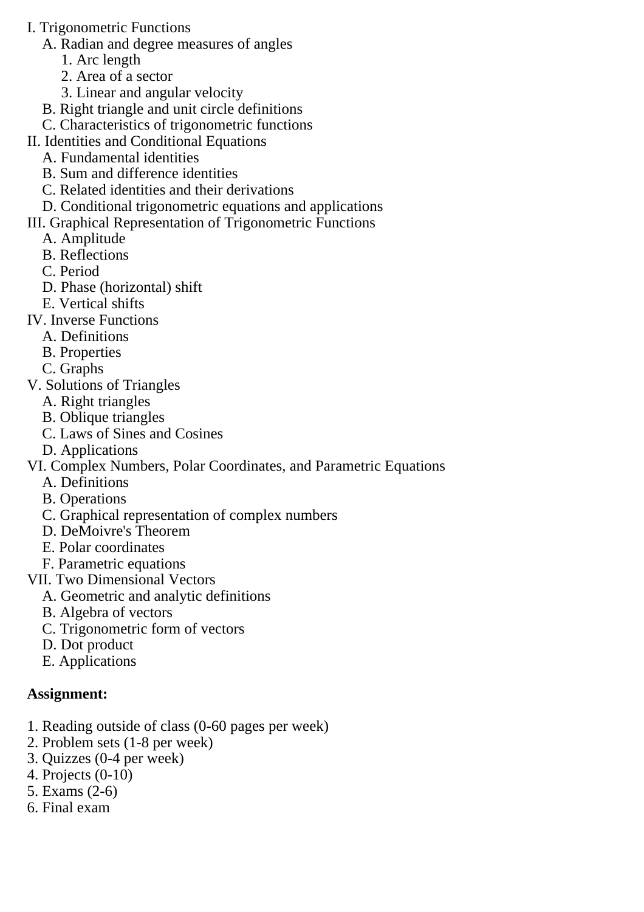- I. Trigonometric Functions
	- A. Radian and degree measures of angles
		- 1. Arc length
		- 2. Area of a sector
		- 3. Linear and angular velocity
	- B. Right triangle and unit circle definitions
	- C. Characteristics of trigonometric functions
- II. Identities and Conditional Equations
	- A. Fundamental identities
	- B. Sum and difference identities
	- C. Related identities and their derivations
	- D. Conditional trigonometric equations and applications

### III. Graphical Representation of Trigonometric Functions

- A. Amplitude
- B. Reflections
- C. Period
- D. Phase (horizontal) shift
- E. Vertical shifts
- IV. Inverse Functions
	- A. Definitions
	- B. Properties
	- C. Graphs
- V. Solutions of Triangles
	- A. Right triangles
	- B. Oblique triangles
	- C. Laws of Sines and Cosines
	- D. Applications
- VI. Complex Numbers, Polar Coordinates, and Parametric Equations
	- A. Definitions
	- B. Operations
	- C. Graphical representation of complex numbers
	- D. DeMoivre's Theorem
	- E. Polar coordinates
	- F. Parametric equations
- VII. Two Dimensional Vectors
	- A. Geometric and analytic definitions
	- B. Algebra of vectors
	- C. Trigonometric form of vectors
	- D. Dot product
	- E. Applications

### **Assignment:**

- 1. Reading outside of class (0-60 pages per week)
- 2. Problem sets (1-8 per week)
- 3. Quizzes (0-4 per week)
- 4. Projects (0-10)
- 5. Exams (2-6)
- 6. Final exam